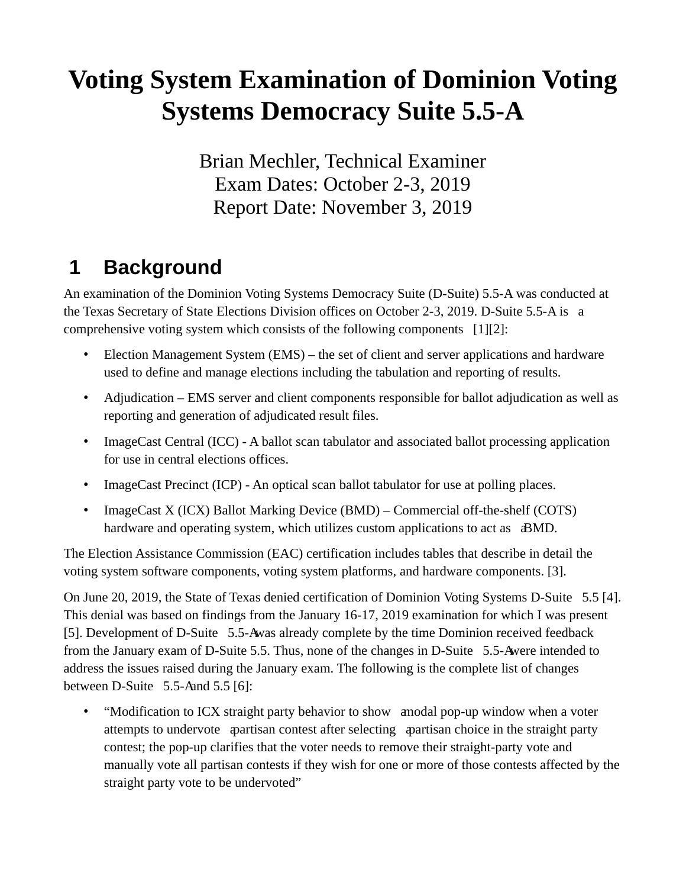# **Voting System Examination of Dominion Voting Systems Democracy Suite 5.5-A**

Brian Mechler, Technical Examiner Exam Dates: October 2-3, 2019 Report Date: November 3, 2019

### **1 Background**

An examination of the Dominion Voting Systems Democracy Suite (D-Suite) 5.5-A was conducted at the Texas Secretary of State Elections Division offices on October 2-3, 2019. D-Suite 5.5-A is a comprehensive voting system which consists of the following components [1][2]:

- Election Management System (EMS) the set of client and server applications and hardware used to define and manage elections including the tabulation and reporting of results.
- Adjudication EMS server and client components responsible for ballot adjudication as well as reporting and generation of adjudicated result files.
- ImageCast Central (ICC) A ballot scan tabulator and associated ballot processing application for use in central elections offices.
- ImageCast Precinct (ICP) An optical scan ballot tabulator for use at polling places.
- ImageCast X (ICX) Ballot Marking Device (BMD) Commercial off-the-shelf (COTS) hardware and operating system, which utilizes custom applications to act as **BMD**.

The Election Assistance Commission (EAC) certification includes tables that describe in detail the voting system software components, voting system platforms, and hardware components. [3].

On June 20, 2019, the State of Texas denied certification of Dominion Voting Systems D-Suite 5.5 [4]. This denial was based on findings from the January 16-17, 2019 examination for which I was present [5]. Development of D-Suite 5.5-A was already complete by the time Dominion received feedback from the January exam of D-Suite 5.5. Thus, none of the changes in D-Suite 5.5-A were intended to address the issues raised during the January exam. The following is the complete list of changes between D-Suite  $5.5$ -A and  $5.5$  [6]:

• "Modification to ICX straight party behavior to show a modal pop-up window when a voter attempts to undervote a partisan contest after selecting a partisan choice in the straight party contest; the pop-up clarifies that the voter needs to remove their straight-party vote and manually vote all partisan contests if they wish for one or more of those contests affected by the straight party vote to be undervoted"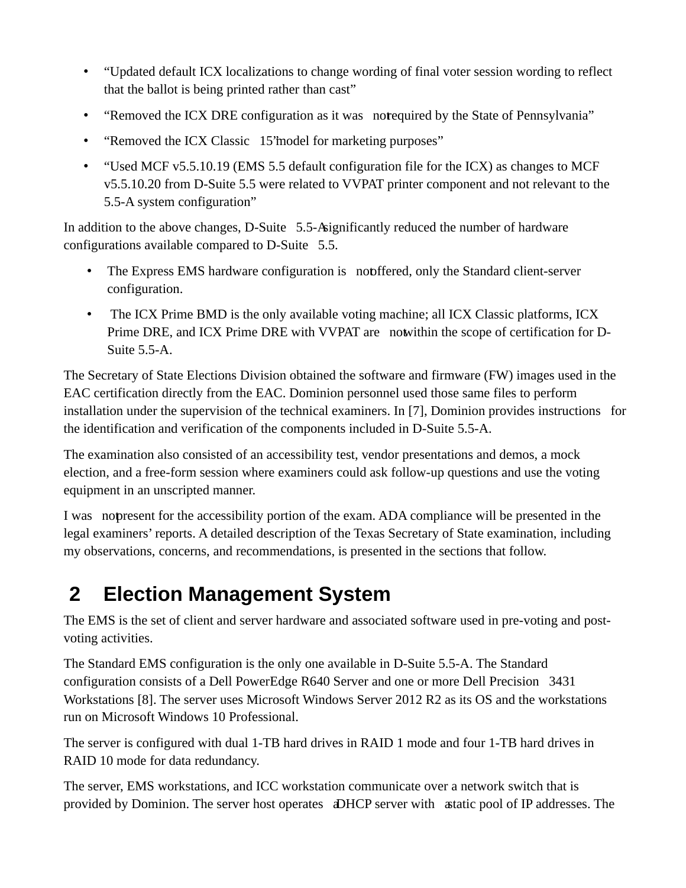- "Updated default ICX localizations to change wording of final voter session wording to reflect that the ballot is being printed rather than cast"
- "Removed the ICX DRE configuration as it was not equired by the State of Pennsylvania"
- "Removed the ICX Classic 15'model for marketing purposes"
- "Used MCF [v5.5.10.19](https://v5.5.10.19) (EMS 5.5 default configuration file for the ICX) as changes to MCF [v5.5.10.20](https://v5.5.10.20) from D-Suite 5.5 were related to VVPAT printer component and not relevant to the 5.5-A system configuration"

In addition to the above changes, D-Suite 5.5-A significantly reduced the number of hardware configurations available compared to D-Suite 5.5.

- The Express EMS hardware configuration is not ffered, only the Standard client-server configuration.
- The ICX Prime BMD is the only available voting machine; all ICX Classic platforms, ICX Prime DRE, and ICX Prime DRE with VVPAT are not within the scope of certification for D-Suite 5.5-A.

The Secretary of State Elections Division obtained the software and firmware (FW) images used in the EAC certification directly from the EAC. Dominion personnel used those same files to perform installation under the supervision of the technical examiners. In [7], Dominion provides instructions for the identification and verification of the components included in D-Suite 5.5-A.

The examination also consisted of an accessibility test, vendor presentations and demos, a mock election, and a free-form session where examiners could ask follow-up questions and use the voting equipment in an unscripted manner.

I was nopresent for the accessibility portion of the exam. ADA compliance will be presented in the legal examiners' reports. A detailed description of the Texas Secretary of State examination, including my observations, concerns, and recommendations, is presented in the sections that follow.

# **2 Election Management System**

The EMS is the set of client and server hardware and associated software used in pre-voting and postvoting activities.

The Standard EMS configuration is the only one available in D-Suite 5.5-A. The Standard configuration consists of a Dell PowerEdge R640 Server and one or more Dell Precision 3431 Workstations [8]. The server uses Microsoft Windows Server 2012 R2 as its OS and the workstations run on Microsoft Windows 10 Professional.

The server is configured with dual 1-TB hard drives in RAID 1 mode and four 1-TB hard drives in RAID 10 mode for data redundancy.

The server, EMS workstations, and ICC workstation communicate over a network switch that is provided by Dominion. The server host operates a DHCP server with a static pool of IP addresses. The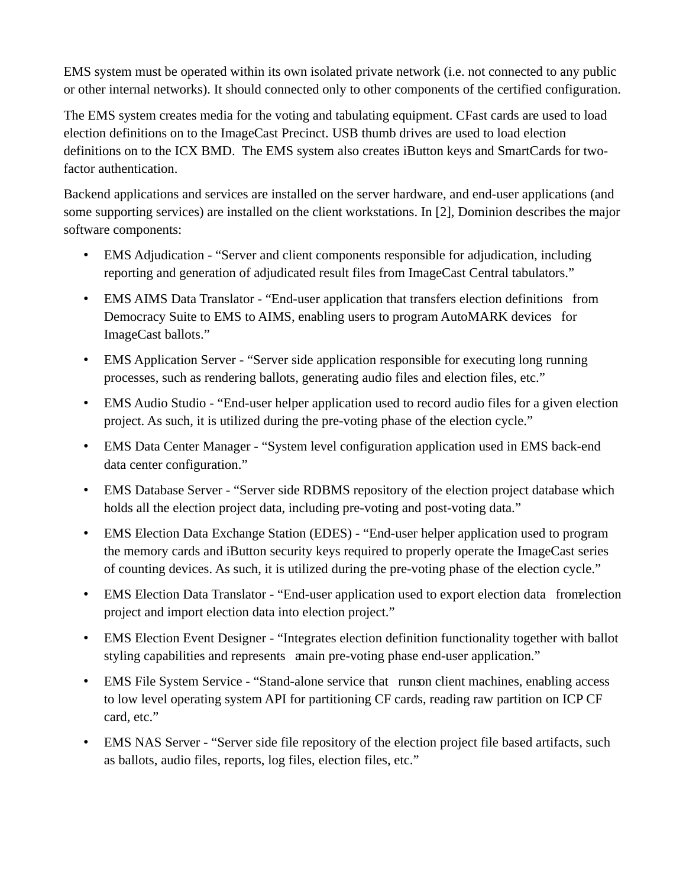EMS system must be operated within its own isolated private network (i.e. not connected to any public or other internal networks). It should connected only to other components of the certified configuration.

The EMS system creates media for the voting and tabulating equipment. CFast cards are used to load election definitions on to the ImageCast Precinct. USB thumb drives are used to load election definitions on to the ICX BMD. The EMS system also creates iButton keys and SmartCards for twofactor authentication.

 software components: Backend applications and services are installed on the server hardware, and end-user applications (and some supporting services) are installed on the client workstations. In [2], Dominion describes the major

- EMS Adjudication "Server and client components responsible for adjudication, including reporting and generation of adjudicated result files from ImageCast Central tabulators."
- • EMS AIMS Data Translator "End-user application that transfers election definitions from Democracy Suite to EMS to AIMS, enabling users to program AutoMARK devices for ImageCast ballots."
- EMS Application Server "Server side application responsible for executing long running processes, such as rendering ballots, generating audio files and election files, etc."
- EMS Audio Studio "End-user helper application used to record audio files for a given election [project. As](https://project.As) such, it is utilized during the pre-voting phase of the election cycle."
- EMS Data Center Manager "System level configuration application used in EMS back-end data center configuration."
- EMS Database Server "Server side RDBMS repository of the election project database which holds all the election project data, including pre-voting and post-voting data."
- EMS Election Data Exchange Station (EDES) "End-user helper application used to program the memory cards and iButton security keys required to properly operate the ImageCast series of counting devices. As such, it is utilized during the pre-voting phase of the election cycle."
- EMS Election Data Translator "End-user application used to export election data from election project and import election data into election project."
- EMS Election Event Designer "Integrates election definition functionality together with ballot styling capabilities and represents a main pre-voting phase end-user application."
- EMS File System Service "Stand-alone service that runson client machines, enabling access to low level operating system API for partitioning CF cards, reading raw partition on ICP CF card, etc."
- EMS NAS Server "Server side file repository of the election project file based artifacts, such as ballots, audio files, reports, log files, election files, etc."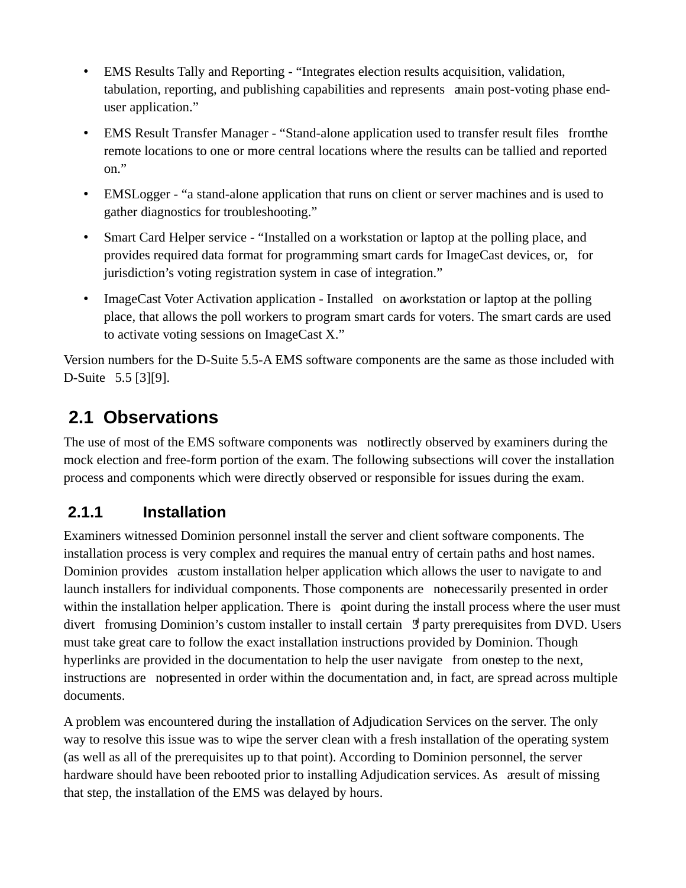- EMS Results Tally and Reporting "Integrates election results acquisition, validation, tabulation, reporting, and publishing capabilities and represents a main post-voting phase enduser application."
- EMS Result Transfer Manager "Stand-alone application used to transfer result files from the remote locations to one or more central locations where the results can be tallied and reported on."
- EMSLogger "a stand-alone application that runs on client or server machines and is used to gather diagnostics for troubleshooting."
- Smart Card Helper service "Installed on a workstation or laptop at the polling place, and provides required data format for programming smart cards for ImageCast devices, or, for jurisdiction's voting registration system in case of integration."
- ImageCast Voter Activation application Installed on a workstation or laptop at the polling place, that allows the poll workers to program smart cards for voters. The smart cards are used to activate voting sessions on ImageCast X."

Version numbers for the D-Suite 5.5-A EMS software components are the same as those included with D-Suite 5.5 [3][9].

# **2.1 Observations**

 process and components which were directly observed or responsible for issues during the exam. The use of most of the EMS software components was not directly observed by examiners during the mock election and free-form portion of the exam. The following subsections will cover the installation

#### **2.1.1 Installation**

Examiners witnessed Dominion personnel install the server and client software components. The installation process is very complex and requires the manual entry of certain paths and host names. Dominion provides a custom installation helper application which allows the user to navigate to and launch installers for individual components. Those components are not necessarily presented in order within the installation helper application. There is a point during the install process where the user must divert from using Dominion's custom installer to install certain  $\frac{1}{3}$  party prerequisites from DVD. Users must take great care to follow the exact installation instructions provided by Dominion. Though hyperlinks are provided in the documentation to help the user navigate from one tep to the next, instructions are nopresented in order within the documentation and, in fact, are spread across multiple documents.

A problem was encountered during the installation of Adjudication Services on the server. The only way to resolve this issue was to wipe the server clean with a fresh installation of the operating system (as well as all of the prerequisites up to that point). According to Dominion personnel, the server hardware should have been rebooted prior to installing Adjudication [services. As](https://services.As) a result of missing that step, the installation of the EMS was delayed by hours.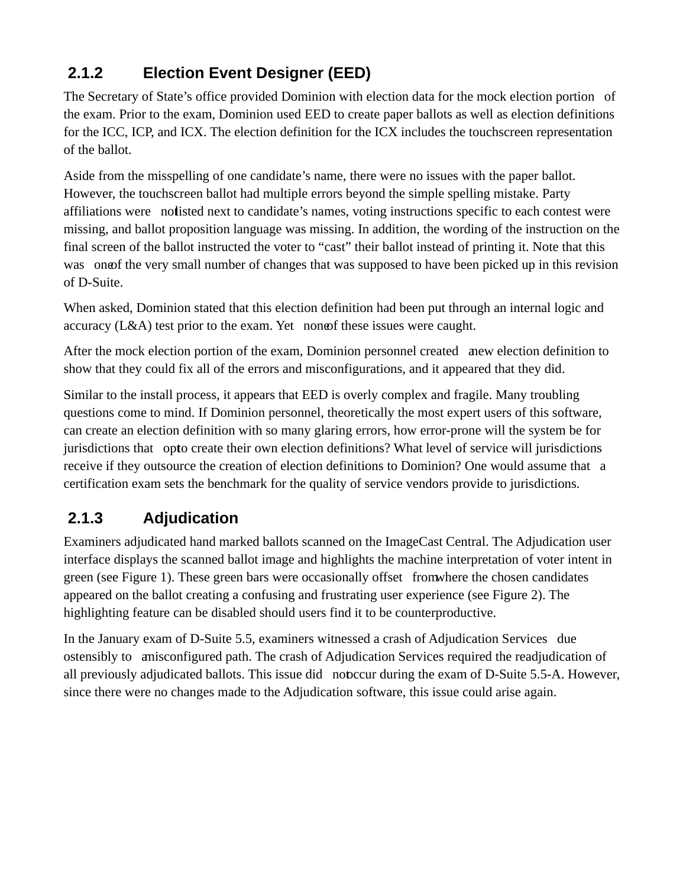#### **2.1.2 Election Event Designer (EED)**

The Secretary of State's office provided Dominion with election data for the mock election portion of the exam. Prior to the exam, Dominion used EED to create paper ballots as well as election definitions for the ICC, ICP, and ICX. The election definition for the ICX includes the touchscreen representation of the ballot.

Aside from the misspelling of one candidate's name, there were no issues with the paper ballot. However, the touchscreen ballot had multiple errors beyond the simple spelling mistake. Party affiliations were notisted next to candidate's names, voting instructions specific to each contest were missing, and ballot proposition language was missing. In addition, the wording of the instruction on the final screen of the ballot instructed the voter to "cast" their ballot instead of printing it. Note that this was one of the very small number of changes that was supposed to have been picked up in this revision of D-Suite.

When asked, Dominion stated that this election definition had been put through an internal logic and accuracy  $(L&A)$  test prior to the exam. Yet none of these issues were caught.

After the mock election portion of the exam, Dominion personnel created anew election definition to show that they could fix all of the errors and misconfigurations, and it appeared that they did.

Similar to the install process, it appears that EED is overly complex and fragile. Many troubling questions come to mind. If Dominion personnel, theoretically the most expert users of this software, can create an election definition with so many glaring errors, how error-prone will the system be for jurisdictions that opto create their own election definitions? What level of service will jurisdictions receive if they outsource the creation of election definitions to Dominion? One would assume that a certification exam sets the benchmark for the quality of service vendors provide to jurisdictions.

#### **2.1.3 Adjudication**

Examiners adjudicated hand marked ballots scanned on the ImageCast Central. The Adjudication user interface displays the scanned ballot image and highlights the machine interpretation of voter intent in green (see Figure 1). These green bars were occasionally offset from where the chosen candidates appeared on the ballot creating a confusing and frustrating user experience (see Figure 2). The highlighting feature can be disabled should users find it to be counterproductive.

In the January exam of D-Suite 5.5, examiners witnessed a crash of Adjudication Services due ostensibly to a misconfigured path. The crash of Adjudication Services required the readjudication of all previously adjudicated ballots. This issue did nobccur during the exam of D-Suite 5.5-A. However, since there were no changes made to the Adjudication software, this issue could arise again.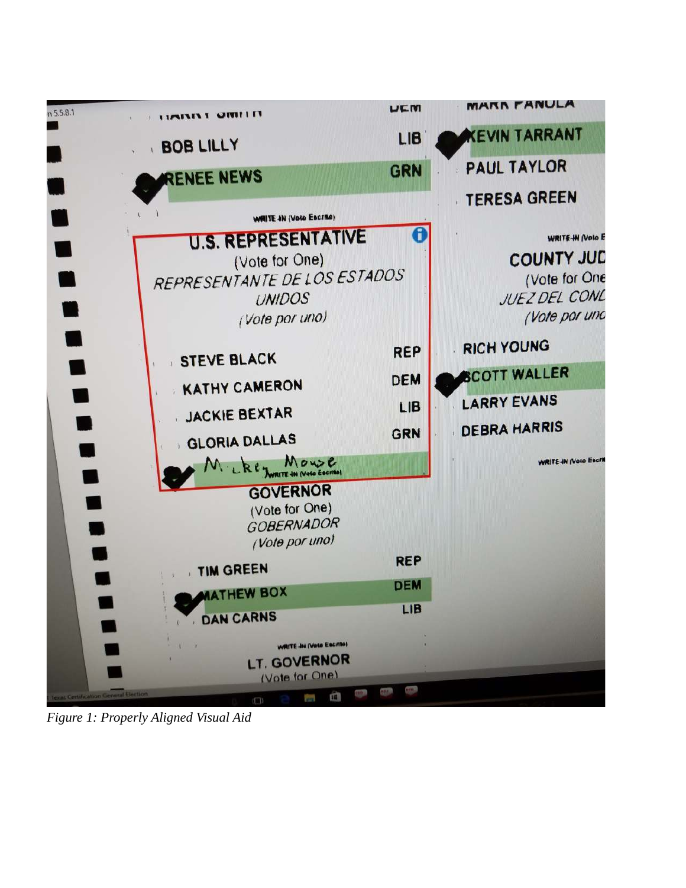

*Figure 1: Properly Aligned Visual Aid*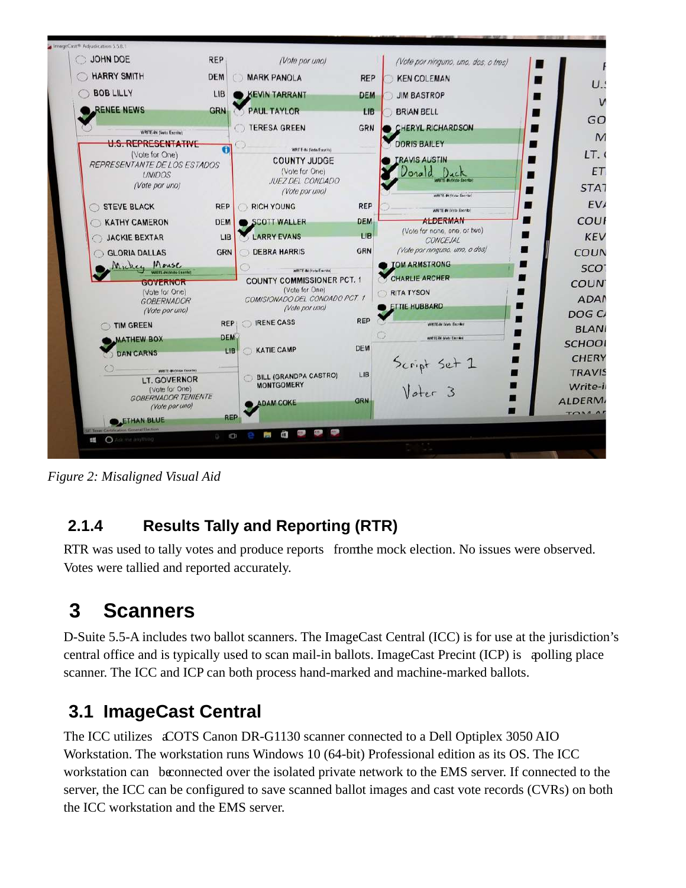

*Figure 2: Misaligned Visual Aid* 

#### **2.1.4 Results Tally and Reporting (RTR)**

RTR was used to tally votes and produce reports from the mock election. No issues were observed. Votes were tallied and reported accurately.

### **3 Scanners**

 scanner. The ICC and ICP can both process hand-marked and machine-marked ballots. D-Suite 5.5-A includes two ballot scanners. The ImageCast Central (ICC) is for use at the jurisdiction's central office and is typically used to scan mail-in ballots. ImageCast Precint (ICP) is a polling place

# **3.1 ImageCast Central**

The ICC utilizes a COTS Canon DR-G1130 scanner connected to a Dell Optiplex 3050 AIO Workstation. The workstation runs Windows 10 (64-bit) Professional edition as its OS. The ICC workstation can be connected over the isolated private network to the EMS server. If connected to the server, the ICC can be configured to save scanned ballot images and cast vote records (CVRs) on both the ICC workstation and the EMS server.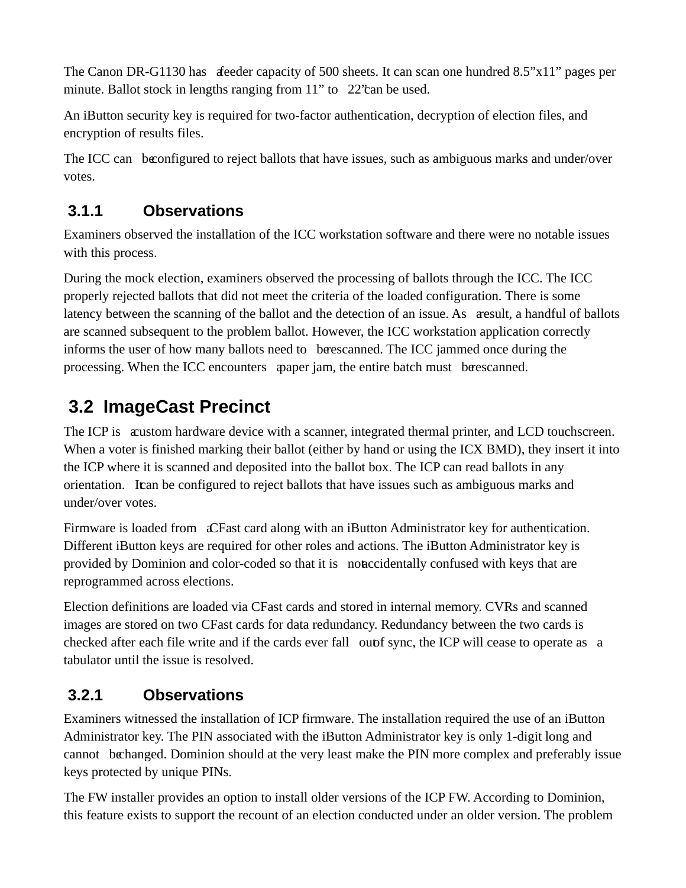The Canon DR-G1130 has deeder capacity of 500 sheets. It can scan one hundred 8.5"x11" pages per minute. Ballot stock in lengths ranging from 11" to 22''can be used.

An iButton security key is required for two-factor authentication, decryption of election files, and encryption of results files.

The ICC can be configured to reject ballots that have issues, such as ambiguous marks and under/over votes.

#### **3.1.1 Observations**

Examiners observed the installation of the ICC workstation software and there were no notable issues with this process.

During the mock election, examiners observed the processing of ballots through the ICC. The ICC properly rejected ballots that did not meet the criteria of the loaded configuration. There is some latency between the scanning of the ballot and the detection of an [issue. As](https://issue.As) a result, a handful of ballots are scanned subsequent to the problem ballot. However, the ICC workstation application correctly informs the user of how many ballots need to be rescanned. The ICC jammed once during the processing. When the ICC encounters apaper jam, the entire batch must be rescanned.

# **3.2 ImageCast Precinct**

The ICP is a custom hardware device with a scanner, integrated thermal printer, and LCD touchscreen. When a voter is finished marking their ballot (either by hand or using the ICX BMD), they insert it into the ICP where it is scanned and deposited into the ballot box. The ICP can read ballots in any orientation. It can be configured to reject ballots that have issues such as ambiguous marks and under/over votes.

Firmware is loaded from a CFast card along with an iButton Administrator key for authentication. Different iButton keys are required for other roles and actions. The iButton Administrator key is provided by Dominion and color-coded so that it is not accidentally confused with keys that are reprogrammed across elections.

Election definitions are loaded via CFast cards and stored in internal memory. CVRs and scanned images are stored on two CFast cards for data redundancy. Redundancy between the two cards is checked after each file write and if the cards ever fall out f sync, the ICP will cease to operate as a tabulator until the issue is resolved.

#### **3.2.1 Observations**

Examiners witnessed the installation of ICP firmware. The installation required the use of an iButton Administrator key. The PIN associated with the iButton Administrator key is only 1-digit long and cannot be changed. Dominion should at the very least make the PIN more complex and preferably issue keys protected by unique PINs.

The FW installer provides an option to install older versions of the ICP FW. According to Dominion, this feature exists to support the recount of an election conducted under an older version. The problem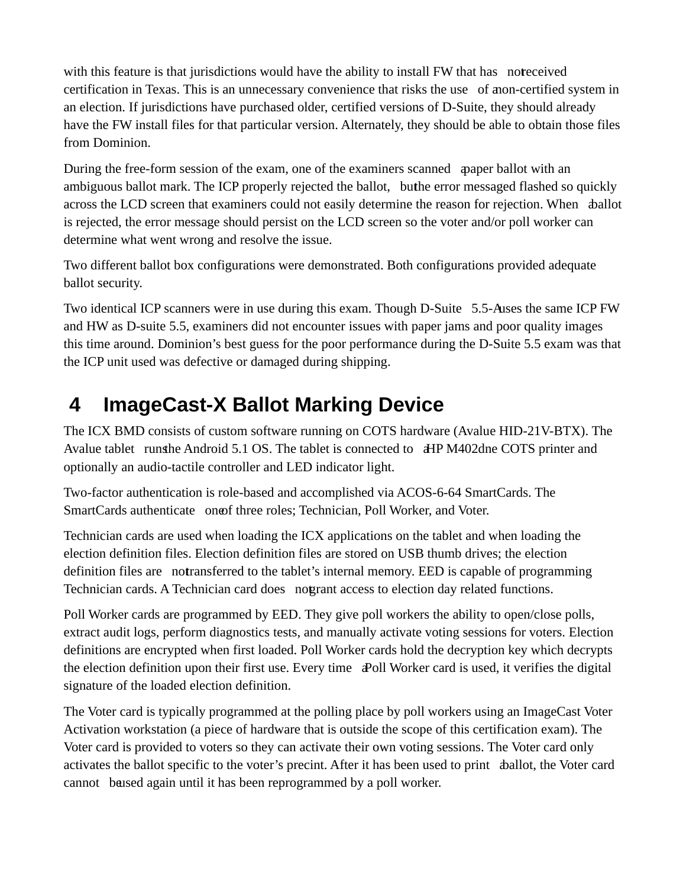from Dominion. with this feature is that jurisdictions would have the ability to install FW that has noteceived certification in Texas. This is an unnecessary convenience that risks the use of a non-certified system in an election. If jurisdictions have purchased older, certified versions of D-Suite, they should already have the FW install files for that particular version. Alternately, they should be able to obtain those files

During the free-form session of the exam, one of the examiners scanned a paper ballot with an ambiguous ballot mark. The ICP properly rejected the ballot, buthe error messaged flashed so quickly across the LCD screen that examiners could not easily determine the reason for rejection. When *ballot* is rejected, the error message should persist on the LCD screen so the voter and/or poll worker can determine what went wrong and resolve the issue.

Two different ballot box configurations were demonstrated. Both configurations provided adequate ballot security.

Two identical ICP scanners were in use during this exam. Though D-Suite 5.5-A uses the same ICP FW and HW as D-suite 5.5, examiners did not encounter issues with paper jams and poor quality images this time around. Dominion's best guess for the poor performance during the D-Suite 5.5 exam was that the ICP unit used was defective or damaged during shipping.

### **4 ImageCast-X Ballot Marking Device**

The ICX BMD consists of custom software running on COTS hardware (Avalue HID-21V-BTX). The Avalue tablet runs the Android 5.1 OS. The tablet is connected to a HP M402dne COTS printer and optionally an audio-tactile controller and LED indicator light.

SmartCards authenticate one of three roles; Technician, Poll Worker, and Voter. Two-factor authentication is role-based and accomplished via ACOS-6-64 SmartCards. The

Technician cards. A Technician card does nogrant access to election day related functions. Technician cards are used when loading the ICX applications on the tablet and when loading the election definition files. Election definition files are stored on USB thumb drives; the election definition files are notransferred to the tablet's internal memory. EED is capable of programming

Poll Worker cards are programmed by EED. They give poll workers the ability to open/close polls, extract audit logs, perform diagnostics tests, and manually activate voting sessions for voters. Election definitions are encrypted when first loaded. Poll Worker cards hold the decryption key which decrypts the election definition upon their first use. Every time a Poll Worker card is used, it verifies the digital signature of the loaded election definition.

 The Voter card is typically programmed at the polling place by poll workers using an ImageCast Voter Activation workstation (a piece of hardware that is outside the scope of this certification exam). The Voter card is provided to voters so they can activate their own voting sessions. The Voter card only activates the ballot specific to the voter's precint. After it has been used to print aballot, the Voter card cannot be used again until it has been reprogrammed by a poll worker.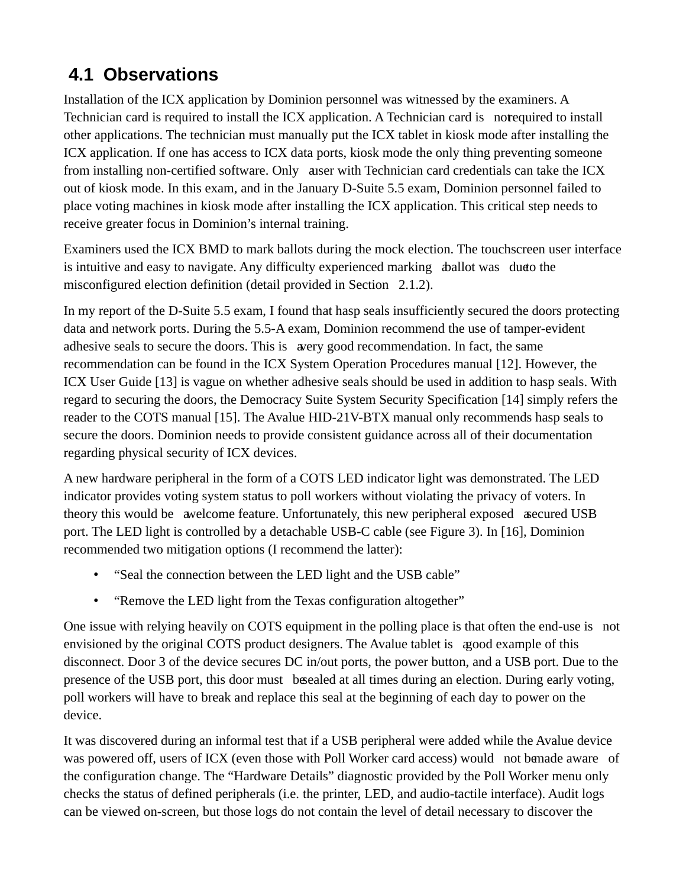# **4.1 Observations**

 Installation of the ICX application by Dominion personnel was witnessed by the examiners. A Technician card is required to install the ICX application. A Technician card is not equired to install receive greater focus in Dominion's internal training. other applications. The technician must manually put the ICX tablet in kiosk mode after installing the ICX application. If one has access to ICX data ports, kiosk mode the only thing preventing someone from installing non-certified software. Only a user with Technician card credentials can take the ICX out of kiosk mode. In this exam, and in the January D-Suite 5.5 exam, Dominion personnel failed to place voting machines in kiosk mode after installing the ICX application. This critical step needs to

Examiners used the ICX BMD to mark ballots during the mock election. The touchscreen user interface is intuitive and easy to navigate. Any difficulty experienced marking aballot was due to the misconfigured election definition (detail provided in Section 2.1.2).

In my report of the D-Suite 5.5 exam, I found that hasp seals insufficiently secured the doors protecting data and network ports. During the 5.5-A exam, Dominion recommend the use of tamper-evident adhesive seals to secure the doors. This is a very good recommendation. In fact, the same recommendation can be found in the ICX System Operation Procedures manual [12]. However, the ICX User Guide [13] is vague on whether adhesive seals should be used in addition to hasp seals. With regard to securing the doors, the Democracy Suite System Security Specification [14] simply refers the reader to the COTS manual [15]. The Avalue HID-21V-BTX manual only recommends hasp seals to secure the doors. Dominion needs to provide consistent guidance across all of their documentation regarding physical security of ICX devices.

 A new hardware peripheral in the form of a COTS LED indicator light was demonstrated. The LED indicator provides voting system status to poll workers without violating the privacy of voters. In theory this would be avelcome feature. Unfortunately, this new peripheral exposed as ecured USB port. The LED light is controlled by a detachable USB-C cable (see Figure 3). In [16], Dominion recommended two mitigation options (I recommend the latter):

- "Seal the connection between the LED light and the USB cable"
- "Remove the LED light from the Texas configuration altogether"

One issue with relying heavily on COTS equipment in the polling place is that often the end-use is not envisioned by the original COTS product designers. The Avalue tablet is a good example of this disconnect. Door 3 of the device secures DC in/out ports, the power button, and a USB port. Due to the presence of the USB port, this door must be sealed at all times during an election. During early voting, poll workers will have to break and replace this seal at the beginning of each day to power on the device.

It was discovered during an informal test that if a USB peripheral were added while the Avalue device was powered off, users of ICX (even those with Poll Worker card access) would not be made aware of the configuration change. The "Hardware Details" diagnostic provided by the Poll Worker menu only checks the status of defined peripherals (i.e. the printer, LED, and audio-tactile interface). Audit logs can be viewed on-screen, but those logs do not contain the level of detail necessary to discover the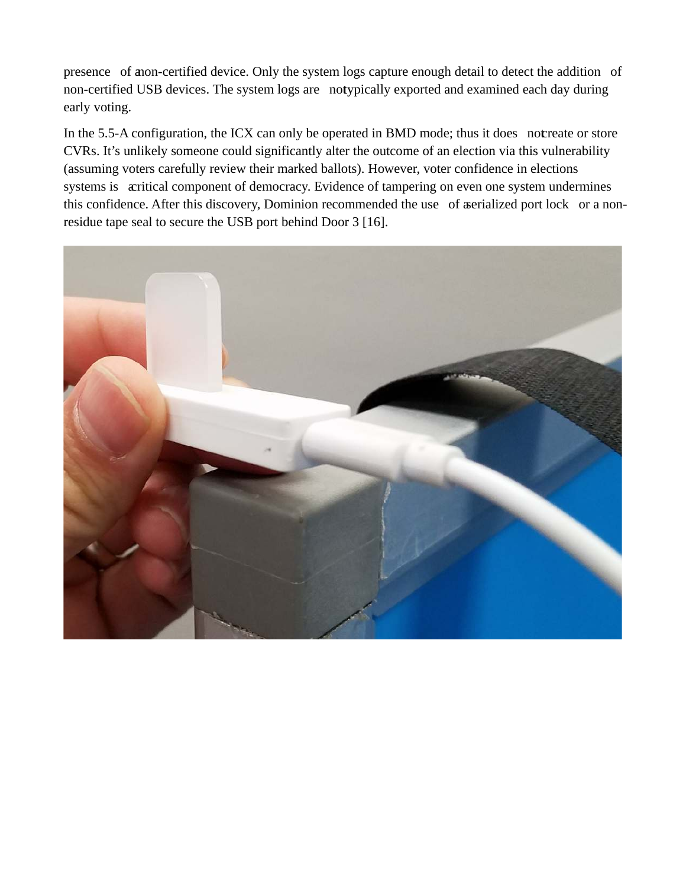presence of a non-certified device. Only the system logs capture enough detail to detect the addition of non-certified USB devices. The system logs are notypically exported and examined each day during early voting.

In the 5.5-A configuration, the ICX can only be operated in BMD mode; thus it does not reate or store CVRs. It's unlikely someone could significantly alter the outcome of an election via this vulnerability (assuming voters carefully review their marked ballots). However, voter confidence in elections systems is acritical component of democracy. Evidence of tampering on even one system undermines this confidence. After this discovery, Dominion recommended the use of a serialized port lock or a nonresidue tape seal to secure the USB port behind Door 3 [16].

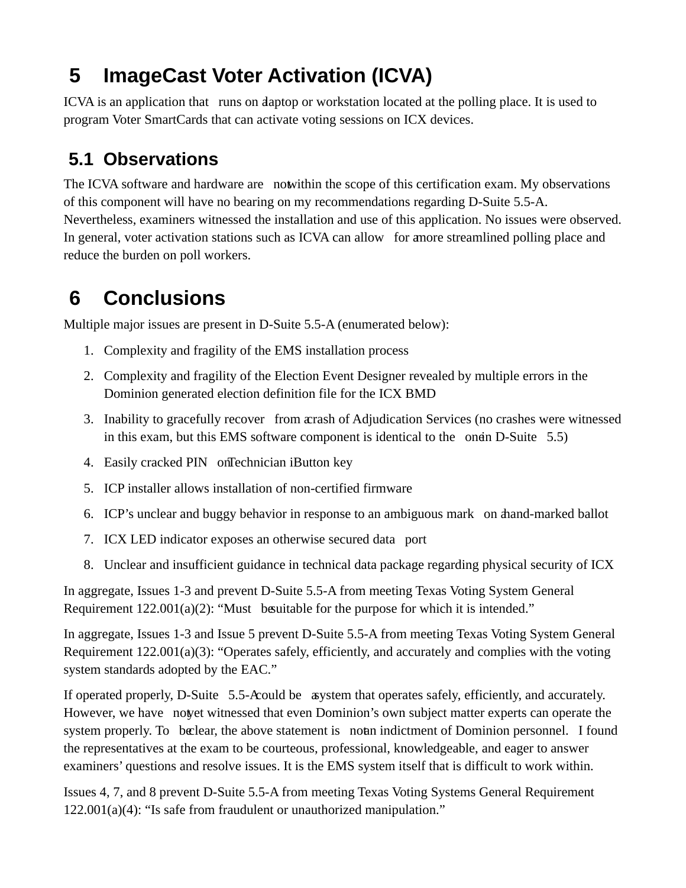### **ImageCast Voter Activation (ICVA)**

ICVA is an application that runs on daptop or workstation located at the polling place. It is used to program Voter SmartCards that can activate voting sessions on ICX devices.

# **5.1 Observations**

The ICVA software and hardware are not within the scope of this certification exam. My observations of this component will have no bearing on my recommendations regarding D-Suite 5.5-A. Nevertheless, examiners witnessed the installation and use of this application. No issues were observed. In general, voter activation stations such as ICVA can allow for a more streamlined polling place and reduce the burden on poll workers.

## **6 Conclusions**

Multiple major issues are present in D-Suite 5.5-A (enumerated below):

- 1. Complexity and fragility of the EMS installation process
- 2. Complexity and fragility of the Election Event Designer revealed by multiple errors in the Dominion generated election definition file for the ICX BMD
- 3. Inability to gracefully recover from a crash of Adjudication Services (no crashes were witnessed in this exam, but this EMS software component is identical to the one in D-Suite  $5.5$ )
- 4. Easily cracked PIN onTechnician iButton key
- 5. ICP installer allows installation of non-certified firmware
- 6. ICP's unclear and buggy behavior in response to an ambiguous mark on a hand-marked ballot
- 7. ICX LED indicator exposes an otherwise secured data port
- 8. Unclear and insufficient guidance in technical data package regarding physical security of ICX

 In aggregate, Issues 1-3 and prevent D-Suite 5.5-A from meeting Texas Voting System General Requirement 122.001(a)(2): "Must besuitable for the purpose for which it is intended."

In aggregate, Issues 1-3 and Issue 5 prevent D-Suite 5.5-A from meeting Texas Voting System General Requirement 122.001(a)(3): "Operates safely, efficiently, and accurately and complies with the voting system standards adopted by the EAC."

If operated properly, D-Suite 5.5-A could be a system that operates safely, efficiently, and accurately. However, we have not yet witnessed that even Dominion's own subject matter experts can operate the system [properly. To](https://properly.To) beclear, the above statement is not an indictment of Dominion personnel. I found the representatives at the exam to be courteous, professional, knowledgeable, and eager to answer examiners' questions and resolve issues. It is the EMS system itself that is difficult to work within.

Issues 4, 7, and 8 prevent D-Suite 5.5-A from meeting Texas Voting Systems General Requirement 122.001(a)(4): "Is safe from fraudulent or unauthorized manipulation."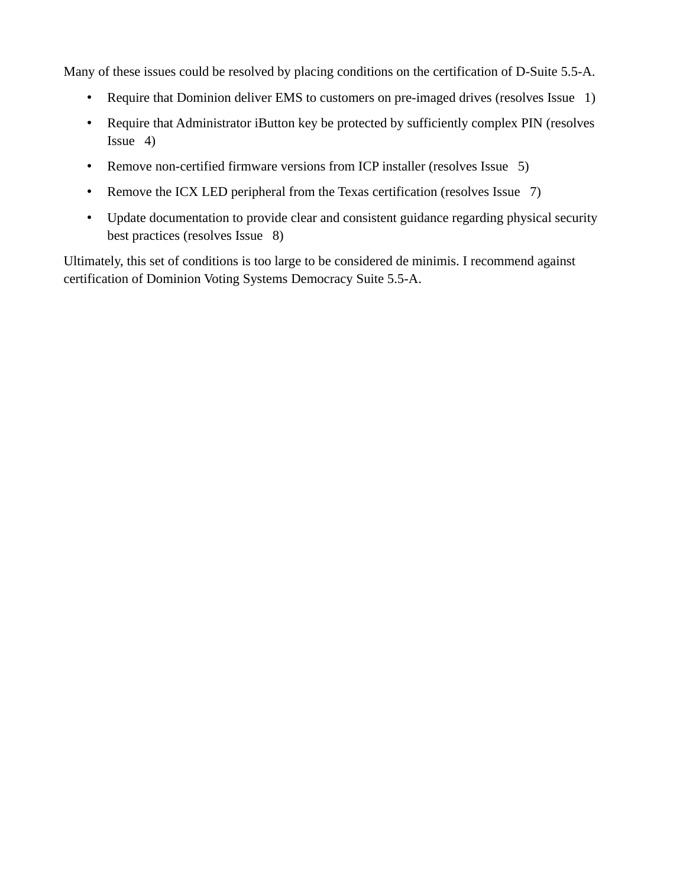Many of these issues could be resolved by placing conditions on the certification of D-Suite 5.5-A.

- Require that Dominion deliver EMS to customers on pre-imaged drives (resolves Issue 1)
- Require that Administrator iButton key be protected by sufficiently complex PIN (resolves Issue 4)
- Remove non-certified firmware versions from ICP installer (resolves Issue 5)
- Remove the ICX LED peripheral from the Texas certification (resolves Issue 7)
- Update documentation to provide clear and consistent guidance regarding physical security best practices (resolves Issue 8)

Ultimately, this set of conditions is too large to be considered de minimis. I recommend against certification of Dominion Voting Systems Democracy Suite 5.5-A.